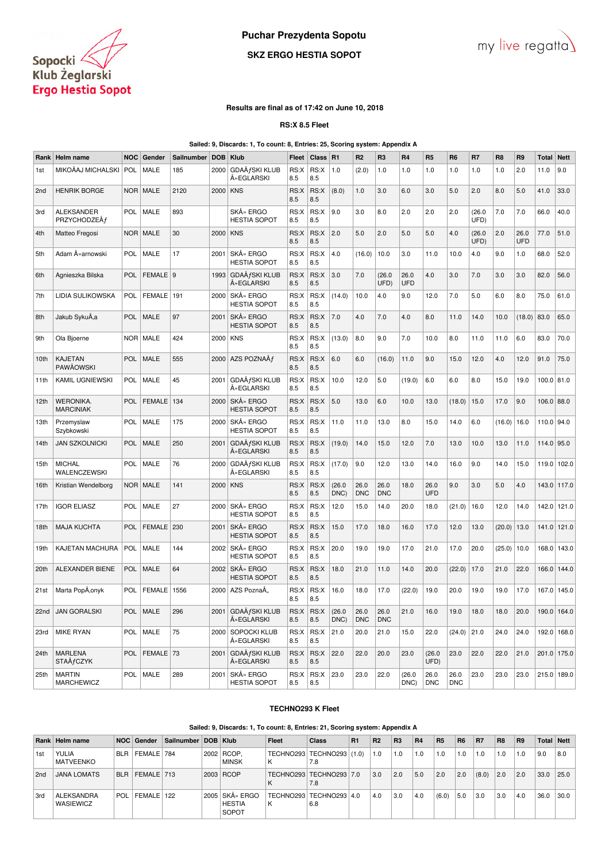

# **Puchar Prezydenta Sopotu**

# **SKZ ERGO HESTIA SOPOT**



### **Results are final as of 17:42 on June 10, 2018**

**RS:X 8.5 Fleet**

**Sailed: 9, Discards: 1, To count: 8, Entries: 25, Scoring system: Appendix A**

| Rank | Helm name                            | <b>NOC</b> | Gender        | Sailnumber | <b>DOB</b> | <b>Klub</b>                         | Fleet       | <b>Class</b> | R1             | R <sub>2</sub>     | R <sub>3</sub>     | R4                 | R <sub>5</sub>     | R <sub>6</sub>     | R7             | R <sub>8</sub> | R9          | <b>Total</b> | <b>Nett</b> |
|------|--------------------------------------|------------|---------------|------------|------------|-------------------------------------|-------------|--------------|----------------|--------------------|--------------------|--------------------|--------------------|--------------------|----------------|----------------|-------------|--------------|-------------|
| 1st  | MIKOÅAJ MICHALSKI                    | POL        | <b>MALE</b>   | 185        | 2000       | GDAÅfSKI KLUB<br>ŻEGLARSKI          | RS:X<br>8.5 | RS:X<br>8.5  | 1.0            | (2.0)              | 1.0                | 1.0                | 1.0                | 1.0                | 1.0            | 1.0            | 2.0         | 11.0         | 9.0         |
| 2nd  | <b>HENRIK BORGE</b>                  | <b>NOR</b> | <b>MALE</b>   | 2120       | 2000       | <b>KNS</b>                          | RS:X<br>8.5 | RS:X<br>8.5  | (8.0)          | 1.0                | 3.0                | 6.0                | 3.0                | 5.0                | 2.0            | 8.0            | 5.0         | 41.0         | 33.0        |
| 3rd  | <b>ALEKSANDER</b><br>PRZYCHODZEÅf    | POL        | MALE          | 893        |            | SKÅ» ERGO<br><b>HESTIA SOPOT</b>    | RS:X<br>8.5 | RS:X<br>8.5  | 9.0            | 3.0                | 8.0                | 2.0                | 2.0                | 2.0                | (26.0)<br>UFD) | 7.0            | 7.0         | 66.0         | 40.0        |
| 4th  | Matteo Fregosi                       | <b>NOR</b> | <b>MALE</b>   | 30         | 2000       | <b>KNS</b>                          | RS:X<br>8.5 | RS:X<br>8.5  | 2.0            | 5.0                | 2.0                | 5.0                | 5.0                | 4.0                | (26.0)<br>UFD) | 2.0            | 26.0<br>UFD | 77.0         | 51.0        |
| 5th  | Adam Żarnowski                       | POL        | MALE          | 17         | 2001       | SKÅ» ERGO<br><b>HESTIA SOPOT</b>    | RS:X<br>8.5 | RS:X<br>8.5  | 4.0            | (16.0)             | 10.0               | 3.0                | 11.0               | 10.0               | 4.0            | 9.0            | 1.0         | 68.0         | 52.0        |
| 6th  | Agnieszka Bilska                     | POL        | <b>FEMALE</b> | l 9        | 1993       | GDAÅfSKI KLUB<br>ŻEGLARSKI          | RS:X<br>8.5 | RS:X<br>8.5  | 3.0            | 7.0                | (26.0)<br>UFD)     | 26.0<br><b>UFD</b> | 4.0                | 3.0                | 7.0            | 3.0            | 3.0         | 82.0         | 56.0        |
| 7th  | LIDIA SULIKOWSKA                     | POL        | <b>FEMALE</b> | 191        | 2000       | SKÅ» ERGO<br><b>HESTIA SOPOT</b>    | RS:X<br>8.5 | RS:X<br>8.5  | (14.0)         | 10.0               | 4.0                | 9.0                | 12.0               | 7.0                | 5.0            | 6.0            | 8.0         | 75.0         | 61.0        |
| 8th  | Jakub SykuÅ,a                        | POL        | <b>MALE</b>   | 97         | 2001       | SKÅ» ERGO<br><b>HESTIA SOPOT</b>    | RS:X<br>8.5 | RS:X<br>8.5  | 7.0            | 4.0                | 7.0                | 4.0                | 8.0                | 11.0               | 14.0           | 10.0           | (18.0)      | 83.0         | 65.0        |
| 9th  | Ola Bjoerne                          | <b>NOR</b> | MALE          | 424        | 2000       | <b>KNS</b>                          | RS:X<br>8.5 | RS:X<br>8.5  | (13.0)         | 8.0                | 9.0                | 7.0                | 10.0               | 8.0                | 11.0           | 11.0           | 6.0         | 83.0         | 70.0        |
| 10th | <b>KAJETAN</b><br><b>PAWĂOWSKI</b>   | <b>POL</b> | MALE          | 555        | 2000       | AZS POZNAÅf                         | RS:X<br>8.5 | RS:X<br>8.5  | 6.0            | 6.0                | (16.0)             | 11.0               | 9.0                | 15.0               | 12.0           | 4.0            | 12.0        | 91.0         | 75.0        |
| 11th | <b>KAMIL UGNIEWSKI</b>               | <b>POL</b> | <b>MALE</b>   | 45         | 2001       | GDAÅfSKI KLUB<br>ŻEGLARSKI          | RS:X<br>8.5 | RS:X<br>8.5  | 10.0           | 12.0               | 5.0                | (19.0)             | 6.0                | 6.0                | 8.0            | 15.0           | 19.0        | $100.0$ 81.0 |             |
| 12th | <b>WERONIKA.</b><br><b>MARCINIAK</b> | POL        | <b>FEMALE</b> | 134        | 2000       | SKÅ» ERGO<br><b>HESTIA SOPOT</b>    | RS:X<br>8.5 | RS:X<br>8.5  | 5.0            | 13.0               | 6.0                | 10.0               | 13.0               | (18.0)             | 15.0           | 17.0           | 9.0         | $106.0$ 88.0 |             |
| 13th | Przemyslaw<br>Szybkowski             | POL        | <b>MALE</b>   | 175        | 2000       | SKÅ» ERGO<br><b>HESTIA SOPOT</b>    | RS:X<br>8.5 | RS:X<br>8.5  | 11.0           | 11.0               | 13.0               | 8.0                | 15.0               | 14.0               | 6.0            | (16.0)         | 16.0        | 110.0 94.0   |             |
| 14th | <b>JAN SZKOLNICKI</b>                | <b>POL</b> | <b>MALE</b>   | 250        | 2001       | GDAÅfSKI KLUB<br>ŻEGLARSKI          | RS:X<br>8.5 | RS:X<br>8.5  | (19.0)         | 14.0               | 15.0               | 12.0               | 7.0                | 13.0               | 10.0           | 13.0           | 11.0        | 114.0 95.0   |             |
| 15th | <b>MICHAL</b><br>WALENCZEWSKI        | POL        | MALE          | 76         | 2000       | GDAÅfSKI KLUB<br>ŻEGLARSKI          | RS:X<br>8.5 | RS:X<br>8.5  | (17.0)         | 9.0                | 12.0               | 13.0               | 14.0               | 16.0               | 9.0            | 14.0           | 15.0        | 119.0        | 102.0       |
| 16th | Kristian Wendelborg                  | <b>NOR</b> | <b>MALE</b>   | 141        | 2000       | <b>KNS</b>                          | RS:X<br>8.5 | RS:X<br>8.5  | (26.0)<br>DNC) | 26.0<br><b>DNC</b> | 26.0<br><b>DNC</b> | 18.0               | 26.0<br><b>UFD</b> | 9.0                | 3.0            | 5.0            | 4.0         | 143.0        | 117.0       |
| 17th | <b>IGOR ELIASZ</b>                   | POL        | <b>MALE</b>   | 27         | 2000       | SKÅ» ERGO<br><b>HESTIA SOPOT</b>    | RS:X<br>8.5 | RS:X<br>8.5  | 12.0           | 15.0               | 14.0               | 20.0               | 18.0               | (21.0)             | 16.0           | 12.0           | 14.0        | 142.0        | 121.0       |
| 18th | <b>MAJA KUCHTA</b>                   | POL        | <b>FEMALE</b> | 230        | 2001       | SKÅ» ERGO<br><b>HESTIA SOPOT</b>    | RS:X<br>8.5 | RS:X<br>8.5  | 15.0           | 17.0               | 18.0               | 16.0               | 17.0               | 12.0               | 13.0           | (20.0)         | 13.0        | 141.0        | 121.0       |
| 19th | KAJETAN MACHURA                      | POL        | MALE          | 144        | 2002       | SKÅ» ERGO<br><b>HESTIA SOPOT</b>    | RS:X<br>8.5 | RS:X<br>8.5  | 20.0           | 19.0               | 19.0               | 17.0               | 21.0               | 17.0               | 20.0           | (25.0)         | 10.0        |              | 168.0 143.0 |
| 20th | ALEXANDER BIENE                      | <b>POL</b> | <b>MALE</b>   | 64         | 2002       | SKÅ» ERGO<br><b>HESTIA SOPOT</b>    | RS:X<br>8.5 | RS:X<br>8.5  | 18.0           | 21.0               | 11.0               | 14.0               | 20.0               | (22.0)             | 17.0           | 21.0           | 22.0        | 166.0        | 144.0       |
| 21st | Marta PopÅ, onyk                     | POL        | <b>FEMALE</b> | 1556       | 2000       | AZS PoznaÅ,                         | RS:X<br>8.5 | RS:X<br>8.5  | 16.0           | 18.0               | 17.0               | (22.0)             | 19.0               | 20.0               | 19.0           | 19.0           | 17.0        | 167.0        | 145.0       |
| 22nd | <b>JAN GORALSKI</b>                  | POL        | <b>MALE</b>   | 296        | 2001       | GDAÅfSKI KLUB<br><b>A</b> »EGLARSKI | RS:X<br>8.5 | RS:X<br>8.5  | (26.0)<br>DNC) | 26.0<br><b>DNC</b> | 26.0<br><b>DNC</b> | 21.0               | 16.0               | 19.0               | 18.0           | 18.0           | 20.0        | 190.0        | 164.0       |
| 23rd | <b>MIKE RYAN</b>                     | POL        | <b>MALE</b>   | 75         | 2000       | SOPOCKI KLUB<br>ŻEGLARSKI           | RS:X<br>8.5 | RS:X<br>8.5  | 21.0           | 20.0               | 21.0               | 15.0               | 22.0               | (24.0)             | 21.0           | 24.0           | 24.0        | 192.0        | 168.0       |
| 24th | <b>MARLENA</b><br><b>STAÅfCZYK</b>   | POL        | <b>FEMALE</b> | 73         | 2001       | GDAÅfSKI KLUB<br>ŻEGLARSKI          | RS:X<br>8.5 | RS:X<br>8.5  | 22.0           | 22.0               | 20.0               | 23.0               | (26.0)<br>UFD)     | 23.0               | 22.0           | 22.0           | 21.0        | 201.0        | 175.0       |
| 25th | <b>MARTIN</b><br><b>MARCHEWICZ</b>   | POL        | MALE          | 289        | 2001       | SKÅ» ERGO<br><b>HESTIA SOPOT</b>    | RS:X<br>8.5 | RS:X<br>8.5  | 23.0           | 23.0               | 22.0               | (26.0)<br>DNC)     | 26.0<br><b>DNC</b> | 26.0<br><b>DNC</b> | 23.0           | 23.0           | 23.0        |              | 215.0 189.0 |

#### **TECHNO293 K Fleet**

#### **Sailed: 9, Discards: 1, To count: 8, Entries: 21, Scoring system: Appendix A**

|     | Rank   Helm name                      |            | NOC Gender         | Sailnumber   DOB   Klub |                                          | Fleet | <b>Class</b>                         | R1 | R <sub>2</sub> | <b>R3</b> | <b>R4</b> | <b>R5</b> | R <sub>6</sub> | <b>R7</b> | R <sub>8</sub> | <b>R9</b> |      | Total Nett |
|-----|---------------------------------------|------------|--------------------|-------------------------|------------------------------------------|-------|--------------------------------------|----|----------------|-----------|-----------|-----------|----------------|-----------|----------------|-----------|------|------------|
| 1st | <b>YULIA</b><br><b>MATVEENKO</b>      | <b>BLR</b> | FEMALE 784         |                         | 2002 RCOP,<br><b>MINSK</b>               | к     | TECHNO293   TECHNO293   (1.0)<br>7.8 |    | 1.0            | 1.0       | 1.0       | 1.0       | 1.0            | 1.0       | 1.0            | 1.0       | 9.0  | 8.0        |
| 2nd | <b>JANA LOMATS</b>                    | <b>BLR</b> | $FEMALE$   713     |                         | 2003 RCOP                                |       | TECHNO293   TECHNO293   7.0<br>7.8   |    | 3.0            | 2.0       | 5.0       | 2.0       | 2.0            | (8.0)     | 2.0            | 2.0       | 33.0 | 25.0       |
| 3rd | <b>ALEKSANDRA</b><br><b>WASIEWICZ</b> |            | POL   FEMALE   122 |                         | 2005 SKÅ» ERGO<br><b>HESTIA</b><br>SOPOT | К     | TECHNO293   TECHNO293   4.0<br>6.8   |    | 4.0            | 3.0       | 4.0       | (6.0)     | 5.0            | 3.0       | 3.0            | 4.0       | 36.0 | 30.0       |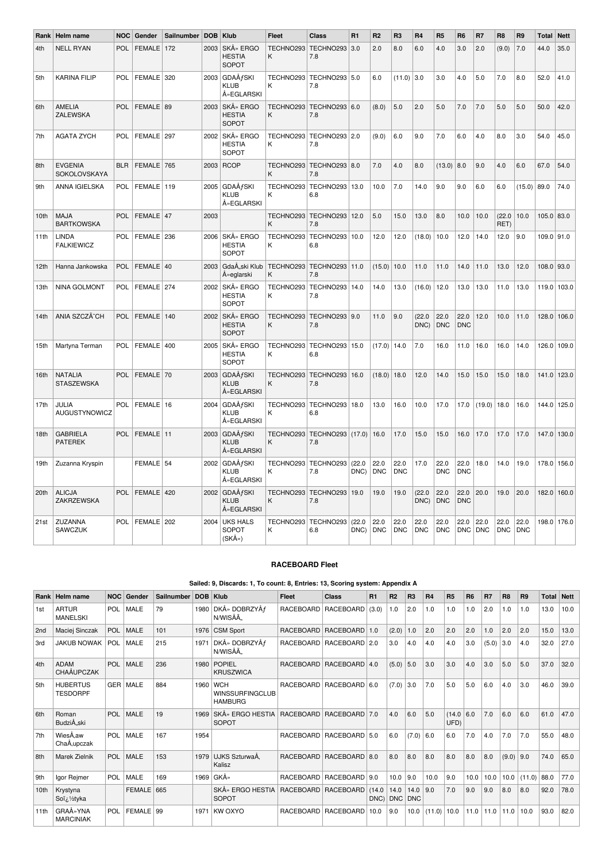| Rank | Helm name                         | <b>NOC</b> | Gender        | Sailnumber | <b>DOB</b> | Klub                                                 | <b>Fleet</b>   | <b>Class</b>                       | R1             | R <sub>2</sub>     | R <sub>3</sub>     | R4                 | R <sub>5</sub>     | R <sub>6</sub>     | R <sub>7</sub>     | R8                 | R <sub>9</sub>     | Total      | <b>Nett</b> |
|------|-----------------------------------|------------|---------------|------------|------------|------------------------------------------------------|----------------|------------------------------------|----------------|--------------------|--------------------|--------------------|--------------------|--------------------|--------------------|--------------------|--------------------|------------|-------------|
| 4th  | <b>NELL RYAN</b>                  | POL        | <b>FEMALE</b> | 172        | 2003       | SKÅ» ERGO<br><b>HESTIA</b><br><b>SOPOT</b>           | TECHNO293<br>K | TECHNO293 3.0<br>7.8               |                | 2.0                | 8.0                | 6.0                | 4.0                | 3.0                | 2.0                | (9.0)              | 7.0                | 44.0       | 35.0        |
| 5th  | <b>KARINA FILIP</b>               | <b>POL</b> | <b>FEMALE</b> | 320        |            | 2003 GDAÅfSKI<br><b>KLUB</b><br>ŻEGLARSKI            | TECHNO293<br>Κ | TECHNO293 5.0<br>7.8               |                | 6.0                | (11.0)             | 3.0                | 3.0                | 4.0                | 5.0                | 7.0                | 8.0                | 52.0       | 41.0        |
| 6th  | AMELIA<br>ZALEWSKA                | POL        | <b>FEMALE</b> | 89         | 2003       | SKÅ» ERGO<br><b>HESTIA</b><br><b>SOPOT</b>           | Κ              | TECHNO293   TECHNO293   6.0<br>7.8 |                | (8.0)              | 5.0                | 2.0                | 5.0                | 7.0                | 7.0                | 5.0                | 5.0                | 50.0       | 42.0        |
| 7th  | <b>AGATA ZYCH</b>                 | <b>POL</b> | FEMALE 297    |            | 2002       | SKÅ» ERGO<br><b>HESTIA</b><br>SOPOT                  | TECHNO293<br>K | TECHNO293 2.0<br>7.8               |                | (9.0)              | 6.0                | 9.0                | 7.0                | 6.0                | 4.0                | 8.0                | 3.0                | 54.0       | 45.0        |
| 8th  | <b>EVGENIA</b><br>SOKOLOVSKAYA    | <b>BLR</b> | FEMALE 765    |            |            | 2003 RCOP                                            | TECHNO293<br>K | TECHNO293 8.0<br>7.8               |                | 7.0                | 4.0                | 8.0                | $(13.0)$ 8.0       |                    | 9.0                | 4.0                | 6.0                | 67.0       | 54.0        |
| 9th  | ANNA IGIELSKA                     | POL        | FEMALE        | 119        | 2005       | <b>GDAÅfSKI</b><br><b>KLUB</b><br>Å» EGLARSKI        | TECHNO293<br>κ | TECHNO293<br>6.8                   | 13.0           | 10.0               | 7.0                | 14.0               | 9.0                | 9.0                | 6.0                | 6.0                | (15.0)             | 89.0       | 74.0        |
| 10th | <b>MAJA</b><br><b>BARTKOWSKA</b>  | POL        | FEMALE        | 47         | 2003       |                                                      | TECHNO293<br>K | TECHNO293<br>7.8                   | 12.0           | 5.0                | 15.0               | 13.0               | 8.0                | 10.0               | 10.0               | (22.0)<br>RET)     | 10.0               | 105.0 83.0 |             |
| 11th | <b>LINDA</b><br><b>FALKIEWICZ</b> | POL        | FEMALE 236    |            | 2006       | SKÅ» ERGO<br><b>HESTIA</b><br>SOPOT                  | TECHNO293<br>Κ | TECHNO293<br>6.8                   | 10.0           | 12.0               | 12.0               | (18.0)             | 10.0               | 12.0               | 14.0               | 12.0               | 9.0                | 109.0 91.0 |             |
| 12th | Hanna Jankowska                   | POL        | <b>FEMALE</b> | 40         | 2003       | GdaÅski Klub<br>Żeglarski                            | TECHNO293<br>K | TECHNO293<br>7.8                   | 11.0           | (15.0)             | 10.0               | 11.0               | 11.0               | 14.0               | 11.0               | 13.0               | 12.0               | 108.0 93.0 |             |
| 13th | NINA GOLMONT                      | <b>POL</b> | FEMALE 274    |            | 2002       | SKÅ» ERGO<br><b>HESTIA</b><br>SOPOT                  | TECHNO293<br>K | TECHNO293<br>7.8                   | 14.0           | 14.0               | 13.0               | (16.0)             | 12.0               | 13.0               | 13.0               | 11.0               | 13.0               |            | 119.0 103.0 |
| 14th | ANIA SZCZÄ~CH                     | POL        | <b>FEMALE</b> | 140        | 2002       | SKÅ» ERGO<br><b>HESTIA</b><br><b>SOPOT</b>           | TECHNO293<br>K | TECHNO293 9.0<br>7.8               |                | 11.0               | 9.0                | (22.0)<br>DNC)     | 22.0<br><b>DNC</b> | 22.0<br><b>DNC</b> | 12.0               | 10.0               | 11.0               |            | 128.0 106.0 |
| 15th | Martyna Terman                    | <b>POL</b> | <b>FEMALE</b> | 400        | 2005       | SKÅ» ERGO<br><b>HESTIA</b><br>SOPOT                  | TECHNO293<br>K | TECHNO293 15.0<br>6.8              |                | (17.0)             | 14.0               | 7.0                | 16.0               | 11.0               | 16.0               | 16.0               | 14.0               |            | 126.0 109.0 |
| 16th | <b>NATALIA</b><br>STASZEWSKA      | POL        | FEMALE 70     |            | 2003       | <b>GDAÅfSKI</b><br><b>KLUB</b><br>Å» EGLARSKI        | TECHNO293<br>K | TECHNO293 16.0<br>7.8              |                | $(18.0)$ 18.0      |                    | 12.0               | 14.0               | 15.0               | 15.0               | 15.0               | 18.0               | 141.0      | 123.0       |
| 17th | JULIA<br>AUGUSTYNOWICZ            | POL        | FEMALE 16     |            | 2004       | <b>GDAÅfSKI</b><br><b>KLUB</b><br>Å» EGLARSKI        | TECHNO293<br>K | TECHNO293<br>6.8                   | 18.0           | 13.0               | 16.0               | 10.0               | 17.0               | 17.0               | (19.0)             | 18.0               | 16.0               | 144.0      | 125.0       |
| 18th | <b>GABRIELA</b><br><b>PATEREK</b> | <b>POL</b> | FEMALE 11     |            |            | $2003$ GDAÅ $f$ SKI<br><b>KLUB</b><br>Å» EGLARSKI    | TECHNO293<br>K | TECHNO293 (17.0)<br>7.8            |                | 16.0               | 17.0               | 15.0               | 15.0               | 16.0               | 17.0               | 17.0               | 17.0               |            | 147.0 130.0 |
| 19th | Zuzanna Kryspin                   |            | FEMALE 54     |            |            | 2002 GDAÅfSKI<br><b>KLUB</b><br>Å» EGLARSKI          | TECHNO293<br>K | TECHNO293<br>7.8                   | (22.0)<br>DNC) | 22.0<br><b>DNC</b> | 22.0<br><b>DNC</b> | 17.0               | 22.0<br><b>DNC</b> | 22.0<br><b>DNC</b> | 18.0               | 14.0               | 19.0               | 178.0      | 156.0       |
| 20th | <b>ALICJA</b><br>ZAKRZEWSKA       | POL        | <b>FEMALE</b> | 420        |            | 2002 GDAÅ <i>f</i> SKI<br><b>KLUB</b><br>Å» EGLARSKI | TECHNO293<br>K | TECHNO293 19.0<br>7.8              |                | 19.0               | 19.0               | (22.0)<br>DNC)     | 22.0<br><b>DNC</b> | 22.0<br><b>DNC</b> | 20.0               | 19.0               | 20.0               |            | 182.0 160.0 |
| 21st | ZUZANNA<br>SAWCZUK                | POL        | <b>FEMALE</b> | 202        | 2004       | <b>UKS HALS</b><br>SOPOT<br>(SKÅ»)                   | TECHNO293<br>K | TECHNO293<br>6.8                   | (22.0)<br>DNC) | 22.0<br><b>DNC</b> | 22.0<br><b>DNC</b> | 22.0<br><b>DNC</b> | 22.0<br><b>DNC</b> | 22.0<br><b>DNC</b> | 22.0<br><b>DNC</b> | 22.0<br><b>DNC</b> | 22.0<br><b>DNC</b> | 198.0      | 176.0       |

### **RACEBOARD Fleet**

**Sailed: 9, Discards: 1, To count: 8, Entries: 13, Scoring system: Appendix A**

| <b>Rank</b>      | Helm name                             | NOC        | Gender          | Sailnumber | <b>DOB</b> | Klub                                                   | Fleet | Class                       | R1             | R <sub>2</sub> | R <sub>3</sub>  | <b>R4</b> | <b>R5</b>      | R <sub>6</sub> | R7    | R <sub>8</sub> | R <sub>9</sub> | <b>Total Nett</b> |      |
|------------------|---------------------------------------|------------|-----------------|------------|------------|--------------------------------------------------------|-------|-----------------------------|----------------|----------------|-----------------|-----------|----------------|----------------|-------|----------------|----------------|-------------------|------|
| 1st              | <b>ARTUR</b><br><b>MANELSKI</b>       |            | POL   MALE      | 79         | 1980       | DKÅ» DOBRZYÅf<br>N/WISÅÄ                               |       | RACEBOARD RACEBOARD         | (3.0)          | 1.0            | 2.0             | 1.0       | 1.0            | 1.0            | 2.0   | 1.0            | 1.0            | 13.0              | 10.0 |
| 2nd              | Maciej Sinczak                        | POL        | MALE            | 101        | 1976       | <b>CSM Sport</b>                                       |       | RACEBOARD RACEBOARD 1.0     |                | (2.0)          | 1.0             | 2.0       | 2.0            | 2.0            | 1.0   | 2.0            | 2.0            | 15.0              | 13.0 |
| 3rd              | <b>JAKUB NOWAK</b>                    |            | POL MALE        | 215        | 1971       | DKÅ» DOBRZYÅf<br>N/WISÅÄ.                              |       | RACEBOARD   RACEBOARD   2.0 |                | 3.0            | 4.0             | 4.0       | 4.0            | 3.0            | (5.0) | 3.0            | 4.0            | 32.0              | 27.0 |
| 4th              | <b>ADAM</b><br><b>CHAÅUPCZAK</b>      | POL        | MALE            | 236        | 1980       | POPIEL<br>KRUSZWICA                                    |       | RACEBOARD   RACEBOARD   4.0 |                | $(5.0)$ 5.0    |                 | 3.0       | 3.0            | 4.0            | 3.0   | 5.0            | 5.0            | 37.0              | 32.0 |
| 5th              | <b>HUBERTUS</b><br><b>TESDORPF</b>    |            | <b>GER MALE</b> | 884        | 1960       | <b>WCH</b><br><b>WINSSURFINGCLUB</b><br><b>HAMBURG</b> |       | RACEBOARD RACEBOARD 6.0     |                | $(7.0)$ 3.0    |                 | 7.0       | 5.0            | 5.0            | 6.0   | 4.0            | 3.0            | 46.0              | 39.0 |
| 6th              | Roman<br>BudziÅski                    |            | POL MALE        | 19         | 1969       | SKÅ» ERGO HESTIA RACEBOARD RACEBOARD 7.0<br>SOPOT      |       |                             |                | 4.0            | 6.0             | 5.0       | (14.0)<br>UFD) | 6.0            | 7.0   | 6.0            | 6.0            | 61.0              | 47.0 |
| 7th              | WiesĂ.aw<br>ChaÅ,upczak               |            | POL MALE        | 167        | 1954       |                                                        |       | RACEBOARD   RACEBOARD   5.0 |                | 6.0            | (7.0)           | 6.0       | 6.0            | 7.0            | 4.0   | 7.0            | 7.0            | 55.0              | 48.0 |
| 8th              | Marek Zielnik                         | POL        | MALE            | 153        | 1979       | UJKS SzturwaÅ.<br>Kalisz                               |       | RACEBOARD RACEBOARD 8.0     |                | 8.0            | 8.0             | 8.0       | 8.0            | 8.0            | 8.0   | (9.0)          | 9.0            | 74.0              | 65.0 |
| 9th              | Igor Rejmer                           | <b>POL</b> | MALE            | 169        | 1969       | GKÅ»                                                   |       | RACEBOARD   RACEBOARD   9.0 |                | 10.0           | 9.0             | 10.0      | 9.0            | 10.0           | 10.0  | 10.0           | (11.0)         | 88.0              | 77.0 |
| 10 <sub>th</sub> | Krystyna<br>Soï¿1/ <sub>2</sub> tyka  |            | <b>FEMALE</b>   | 665        |            | SKÅ» ERGO HESTIA<br><b>SOPOT</b>                       |       | RACEBOARD RACEBOARD         | (14.0)<br>DNC) | 14.0           | 14.0<br>DNC DNC | 9.0       | 7.0            | 9.0            | 9.0   | 8.0            | 8.0            | 92.0              | 78.0 |
| 11th             | <b>GRAÅ</b> » YNA<br><b>MARCINIAK</b> | POL        | <b>FEMALE</b>   | 99         | 1971       | <b>KWOXYO</b>                                          |       | RACEBOARD RACEBOARD         | 10.0           | 9.0            | 10.0            | (11.0)    | 10.0           | 11.0           | 11.0  | 11.0           | 10.0           | 93.0              | 82.0 |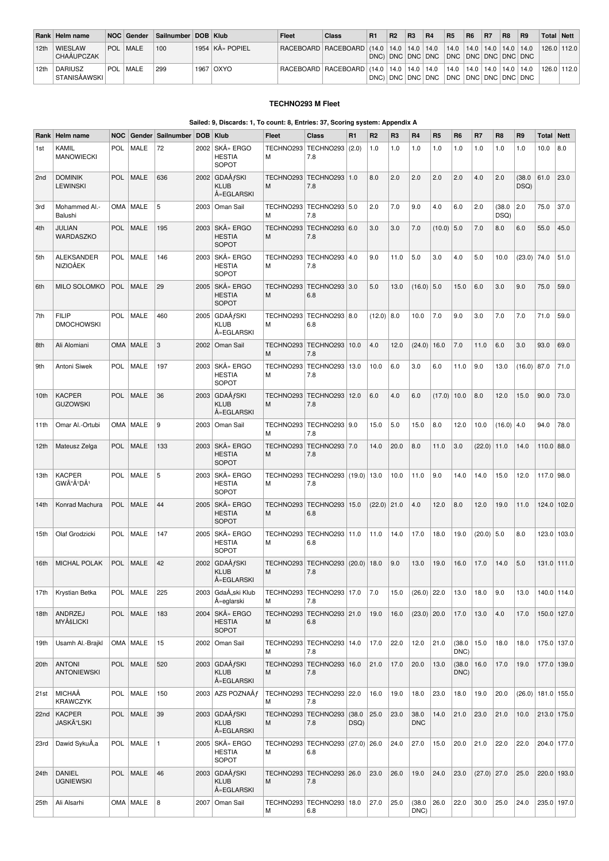|      | Rank Helm name                      | NOC Gender      | Sailnumber   DOB   Klub |                   | <b>Fleet</b> | Class                                                                                 | R1 | <b>R2</b> | R <sub>3</sub> | <b>R4</b>        | <b>R5</b>           | R <sub>6</sub> | R <sub>7</sub> | R8 | <b>R9</b> | Total Nett |       |
|------|-------------------------------------|-----------------|-------------------------|-------------------|--------------|---------------------------------------------------------------------------------------|----|-----------|----------------|------------------|---------------------|----------------|----------------|----|-----------|------------|-------|
| 12th | <b>WIESLAW</b><br><b>CHAAUPCZAK</b> | <b>POL MALE</b> | 100                     | 1954   KÅ» POPIEL |              | RACEBOARD   RACEBOARD   (14.0   14.0   14.0   14.0   14.0   14.0   14.0   14.0   14.0 |    |           |                |                  |                     |                |                |    |           | 126.0      | 112.0 |
| 12th | <b>DARIUSZ</b><br>  STANISÁAWSKI    | <b>POL MALE</b> | 299                     | 1967   OXYO       |              | RACEBOARD   RACEBOARD   (14.0   14.0   14.0   14.0   14.0   14.0   14.0   14.0        |    |           |                | DNC) DNC DNC DNC | DNC DNC DNC DNC DNC |                |                |    | 14.0      | 126.0      | 112.0 |

#### **TECHNO293 M Fleet**

### **Sailed: 9, Discards: 1, To count: 8, Entries: 37, Scoring system: Appendix A**

| Rank            | Helm name                                          | <b>NOC</b> |             | Gender Sailnumber | <b>DOB</b> | Klub                                            | <b>Fleet</b>   | <b>Class</b>                                 | R <sub>1</sub> | R2            | R <sub>3</sub> | <b>R4</b>          | R <sub>5</sub> | R <sub>6</sub> | R7            | R <sub>8</sub> | R <sub>9</sub> | <b>Total Nett</b> |             |
|-----------------|----------------------------------------------------|------------|-------------|-------------------|------------|-------------------------------------------------|----------------|----------------------------------------------|----------------|---------------|----------------|--------------------|----------------|----------------|---------------|----------------|----------------|-------------------|-------------|
| 1st             | Kamil<br><b>MANOWIECKI</b>                         | <b>POL</b> | <b>MALE</b> | 72                | 2002       | SKÅ» ERGO<br><b>HESTIA</b><br>SOPOT             | TECHNO293<br>M | TECHNO293 (2.0)<br>7.8                       |                | 1.0           | 1.0            | 1.0                | 1.0            | 1.0            | 1.0           | 1.0            | 1.0            | 10.0              | 8.0         |
| 2 <sub>nd</sub> | <b>DOMINIK</b><br><b>LEWINSKI</b>                  | <b>POL</b> | <b>MALE</b> | 636               | 2002       | <b>GDAÅfSKI</b><br><b>KLUB</b><br>ŻEGLARSKI     | TECHNO293<br>M | TECHNO293   1.0<br>7.8                       |                | 8.0           | 2.0            | 2.0                | 2.0            | 2.0            | 4.0           | 2.0            | (38.0)<br>DSQ) | 61.0              | 23.0        |
| 3rd             | Mohammed Al.-<br>Balushi                           |            | OMA   MALE  | 5                 | 2003       | Oman Sail                                       | TECHNO293<br>м | TECHNO293 5.0<br>7.8                         |                | 2.0           | 7.0            | 9.0                | 4.0            | 6.0            | 2.0           | (38.0)<br>DSQ) | 2.0            | 75.0              | 37.0        |
| 4th             | <b>JULIAN</b><br>WARDASZKO                         | <b>POL</b> | MALE        | 195               | 2003       | SKÅ» ERGO<br><b>HESTIA</b><br><b>SOPOT</b>      | TECHNO293<br>M | TECHNO293 6.0<br>7.8                         |                | 3.0           | 3.0            | 7.0                | $(10.0)$ 5.0   |                | 7.0           | 8.0            | 6.0            | 55.0              | 45.0        |
| 5th             | <b>ALEKSANDER</b><br><b>NIZIOĂEK</b>               | <b>POL</b> | MALE        | 146               | 2003       | SKÅ» ERGO<br><b>HESTIA</b><br>SOPOT             | TECHNO293<br>M | TECHNO293   4.0<br>7.8                       |                | 9.0           | 11.0           | 5.0                | 3.0            | 4.0            | 5.0           | 10.0           | (23.0)         | 74.0              | 51.0        |
| 6th             | MILO SOLOMKO                                       | <b>POL</b> | <b>MALE</b> | 29                | 2005       | SKÅ» ERGO<br><b>HESTIA</b><br><b>SOPOT</b>      | TECHNO293<br>M | TECHNO293 3.0<br>6.8                         |                | 5.0           | 13.0           | $(16.0)$ 5.0       |                | 15.0           | 6.0           | 3.0            | 9.0            | 75.0              | 59.0        |
| 7th             | <b>FILIP</b><br><b>DMOCHOWSKI</b>                  | <b>POL</b> | <b>MALE</b> | 460               | 2005       | GDAÅ <i>f</i> SKI<br><b>KLUB</b><br>ŻEGLARSKI   | TECHNO293<br>M | TECHNO293 8.0<br>6.8                         |                | $(12.0)$ 8.0  |                | 10.0               | 7.0            | 9.0            | 3.0           | 7.0            | 7.0            | 71.0              | 59.0        |
| 8th             | Ali Alomiani                                       |            | OMA   MALE  | 3                 | 2002       | Oman Sail                                       | TECHNO293<br>M | TECHNO293 10.0<br>7.8                        |                | 4.0           | 12.0           | (24.0)             | 16.0           | 7.0            | 11.0          | 6.0            | 3.0            | 93.0              | 69.0        |
| 9th             | Antoni Siwek                                       | <b>POL</b> | <b>MALE</b> | 197               | 2003       | SKÅ» ERGO<br><b>HESTIA</b><br><b>SOPOT</b>      | TECHNO293<br>M | TECHNO293   13.0<br>7.8                      |                | 10.0          | 6.0            | 3.0                | 6.0            | 11.0           | 9.0           | 13.0           | (16.0)         | 87.0              | 71.0        |
| 10th            | <b>KACPER</b><br><b>GUZOWSKI</b>                   | <b>POL</b> | <b>MALE</b> | 36                | 2003       | GDAÅ <i>f</i> SKI<br><b>KLUB</b><br>Å» EGLARSKI | M              | TECHNO293   TECHNO293   12.0<br>7.8          |                | 6.0           | 4.0            | 6.0                | (17.0)         | 10.0           | 8.0           | 12.0           | 15.0           | 90.0              | 73.0        |
| 11th            | Omar Al.-Ortubi                                    |            | OMA   MALE  | 9                 | 2003       | Oman Sail                                       | TECHNO293<br>м | TECHNO293 9.0<br>7.8                         |                | 15.0          | 5.0            | 15.0               | 8.0            | 12.0           | 10.0          | (16.0)         | 4.0            | 94.0              | 78.0        |
| 12th            | Mateusz Zelga                                      | <b>POL</b> | <b>MALE</b> | 133               | 2003       | SKÅ» ERGO<br><b>HESTIA</b><br><b>SOPOT</b>      | TECHNO293<br>M | TECHNO293 7.0<br>7.8                         |                | 14.0          | 20.0           | 8.0                | 11.0           | 3.0            | (22.0)        | 11.0           | 14.0           | $110.0$ 88.0      |             |
| 13th            | <b>KACPER</b><br>GWÓÅ <sup>1</sup> DÅ <sup>1</sup> | <b>POL</b> | MALE        | 5                 | 2003       | SKÅ» ERGO<br><b>HESTIA</b><br><b>SOPOT</b>      | TECHNO293<br>М | TECHNO293 (19.0)   13.0<br>7.8               |                |               | 10.0           | 11.0               | 9.0            | 14.0           | 14.0          | 15.0           | 12.0           | 117.0 98.0        |             |
| 14th            | Konrad Machura                                     | <b>POL</b> | MALE        | 44                | 2005       | SKÅ» ERGO<br><b>HESTIA</b><br><b>SOPOT</b>      | TECHNO293<br>M | TECHNO293   15.0<br>6.8                      |                | $(22.0)$ 21.0 |                | 4.0                | 12.0           | 8.0            | 12.0          | 19.0           | 11.0           |                   | 124.0 102.0 |
| 15th            | Olaf Grodzicki                                     | <b>POL</b> | <b>MALE</b> | 147               | 2005       | SKÅ» ERGO<br><b>HESTIA</b><br>SOPOT             | TECHNO293<br>M | TECHNO293 11.0<br>6.8                        |                | 11.0          | 14.0           | 17.0               | 18.0           | 19.0           | (20.0)        | 5.0            | 8.0            |                   | 123.0 103.0 |
| 16th            | <b>MICHAL POLAK</b>                                | <b>POL</b> | <b>MALE</b> | 42                | 2002       | <b>GDAÅfSKI</b><br><b>KLUB</b><br>Å» EGLARSKI   | TECHNO293<br>M | TECHNO293<br>7.8                             | $(20.0)$ 18.0  |               | 9.0            | 13.0               | 19.0           | 16.0           | 17.0          | 14.0           | 5.0            |                   | 131.0 111.0 |
| 17th            | Krystian Betka                                     |            | POL   MALE  | 225               |            | 2003 Gdański Klub<br>Żeglarski                  | м              | TECHNO293 TECHNO293 17.0<br>7.8              |                | 7.0           | 15.0           | $(26.0)$ 22.0      |                | 13.0           | 18.0          | 9.0            | 13.0           |                   | 140.0 114.0 |
| 18th            | ANDRZEJ<br>MYÅšLICKI                               |            | POL   MALE  | 183               |            | 2004 SKÅ» ERGO<br><b>HESTIA</b><br>SOPOT        | M              | TECHNO293   TECHNO293   21.0<br>6.8          |                | 19.0          | 16.0           | $(23.0)$ 20.0      |                | 17.0           | 13.0          | 4.0            | 17.0           |                   | 150.0 127.0 |
| 19th            | Usamh Al.-Brajkl                                   |            | OMA   MALE  | 15                |            | 2002 Oman Sail                                  | TECHNO293<br>М | TECHNO293 14.0<br>7.8                        |                | 17.0          | 22.0           | 12.0               | 21.0           | (38.0)<br>DNC) | 15.0          | 18.0           | 18.0           |                   | 175.0 137.0 |
| 20th            | <b>ANTONI</b><br><b>ANTONIEWSKI</b>                |            | POL   MALE  | 520               |            | 2003 GDAÅfSKI<br><b>KLUB</b><br>Å» EGLARSKI     | M              | TECHNO293   TECHNO293   16.0<br>7.8          |                | 21.0          | 17.0           | 20.0               | 13.0           | (38.0)<br>DNC) | 16.0          | 17.0           | 19.0           |                   | 177.0 139.0 |
| 21st            | MICHAĂ<br><b>KRAWCZYK</b>                          |            | POL   MALE  | 150               |            | 2003 AZS POZNAÅf                                | M              | TECHNO293   TECHNO293   22.0<br>7.8          |                | 16.0          | 19.0           | 18.0               | 23.0           | 18.0           | 19.0          | 20.0           | (26.0)         |                   | 181.0 155.0 |
| 22nd            | KACPER<br>JASKÓLSKI                                | <b>POL</b> | MALE        | 39                |            | 2003 GDAÅfSKI<br><b>KLUB</b><br>ŻEGLARSKI       | M              | TECHNO293   TECHNO293   (38.0<br>7.8         | DSQ)           | 25.0          | 23.0           | 38.0<br><b>DNC</b> | 14.0           | 21.0           | 23.0          | 21.0           | 10.0           |                   | 213.0 175.0 |
| 23rd            | Dawid SykuÅ,a                                      |            | POL   MALE  | 1                 |            | 2005 SKÅ» ERGO<br><b>HESTIA</b><br>SOPOT        | M              | TECHNO293   TECHNO293   (27.0)   26.0<br>6.8 |                |               | 24.0           | 27.0               | 15.0           | 20.0           | 21.0          | 22.0           | 22.0           |                   | 204.0 177.0 |
| 24th            | <b>DANIEL</b><br><b>UGNIEWSKI</b>                  |            | POL   MALE  | 46                |            | $2003$ GDAÅ $f$ SKI<br><b>KLUB</b><br>ŻEGLARSKI | M              | TECHNO293   TECHNO293   26.0<br>7.8          |                | 23.0          | 26.0           | 19.0               | 24.0           | 23.0           | $(27.0)$ 27.0 |                | 25.0           |                   | 220.0 193.0 |
| 25th            | Ali Alsarhi                                        |            | OMA   MALE  | 8                 |            | 2007 Oman Sail                                  | TECHNO293<br>М | TECHNO293 18.0<br>6.8                        |                | 27.0          | 25.0           | (38.0)<br>DNC)     | 26.0           | 22.0           | 30.0          | 25.0           | 24.0           |                   | 235.0 197.0 |
|                 |                                                    |            |             |                   |            |                                                 |                |                                              |                |               |                |                    |                |                |               |                |                |                   |             |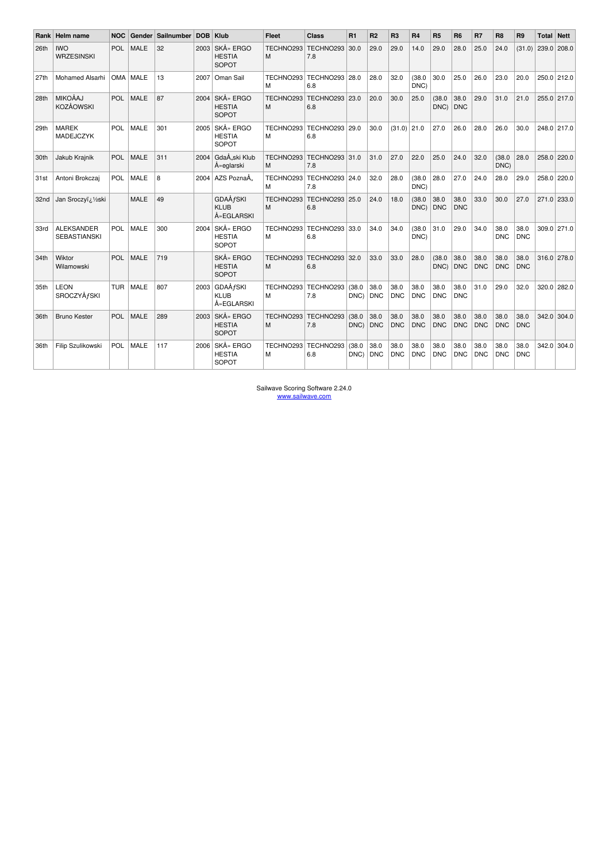| Rank I | Helm name                                | <b>NOC</b> | Gender      | Sailnumber | <b>DOB</b> | Klub                                        | <b>Fleet</b>   | Class                           | R1             | R <sub>2</sub>     | R <sub>3</sub>     | <b>R4</b>          | R <sub>5</sub>     | R <sub>6</sub>     | R7                 | R <sub>8</sub>     | R <sub>9</sub>     | Total | <b>Nett</b> |
|--------|------------------------------------------|------------|-------------|------------|------------|---------------------------------------------|----------------|---------------------------------|----------------|--------------------|--------------------|--------------------|--------------------|--------------------|--------------------|--------------------|--------------------|-------|-------------|
| 26th   | <b>IWO</b><br><b>WRZESINSKI</b>          | <b>POL</b> | <b>MALE</b> | 32         | 2003       | SKÅ» ERGO<br><b>HESTIA</b><br>SOPOT         | TECHNO293<br>M | TECHNO293<br>7.8                | 30.0           | 29.0               | 29.0               | 14.0               | 29.0               | 28.0               | 25.0               | 24.0               | (31.0)             |       | 239.0 208.0 |
| 27th   | <b>Mohamed Alsarhi</b>                   | <b>OMA</b> | MALE        | 13         | 2007       | Oman Sail                                   | TECHNO293<br>м | TECHNO293 28.0<br>6.8           |                | 28.0               | 32.0               | (38.0)<br>DNC)     | 30.0               | 25.0               | 26.0               | 23.0               | 20.0               |       | 250.0 212.0 |
| 28th   | <b>MIKOÅAJ</b><br><b>KOZÅOWSKI</b>       | <b>POL</b> | <b>MALE</b> | 87         | 2004       | SKÅ» ERGO<br><b>HESTIA</b><br>SOPOT         | TECHNO293<br>M | TECHNO293 23.0<br>6.8           |                | 20.0               | 30.0               | 25.0               | (38.0)<br>DNC)     | 38.0<br><b>DNC</b> | 29.0               | 31.0               | 21.0               |       | 255.0 217.0 |
| 29th   | <b>MAREK</b><br>MADEJCZYK                | <b>POL</b> | <b>MALE</b> | 301        | 2005       | SKÅ» ERGO<br><b>HESTIA</b><br>SOPOT         | TECHNO293<br>м | TECHNO293 29.0<br>6.8           |                | 30.0               | $(31.0)$ 21.0      |                    | 27.0               | 26.0               | 28.0               | 26.0               | 30.0               |       | 248.0 217.0 |
| 30th   | Jakub Krajnik                            | <b>POL</b> | <b>MALE</b> | 311        | 2004       | GdaÅski Klub<br>Å» eglarski                 | TECHNO293<br>M | TECHNO293 31.0<br>7.8           |                | 31.0               | 27.0               | 22.0               | 25.0               | 24.0               | 32.0               | (38.0)<br>DNC)     | 28.0               |       | 258.0 220.0 |
| 31st   | Antoni Brokczai                          | POL        | <b>MALE</b> | 8          | 2004       | AZS Poznań                                  | TECHNO293<br>M | TECHNO293 24.0<br>7.8           |                | 32.0               | 28.0               | (38.0)<br>DNC)     | 28.0               | 27.0               | 24.0               | 28.0               | 29.0               |       | 258.0 220.0 |
| 32nd   | Jan Sroczyï; 1/2ski                      |            | <b>MALE</b> | 49         |            | <b>GDAÅfSKI</b><br><b>KLUB</b><br>ŻEGLARSKI | TECHNO293<br>M | TECHNO293 25.0<br>6.8           |                | 24.0               | 18.0               | (38.0)<br>DNC)     | 38.0<br>DNC        | 38.0<br><b>DNC</b> | 33.0               | 30.0               | 27.0               |       | 271.0 233.0 |
| 33rd   | <b>ALEKSANDER</b><br><b>SEBASTIANSKI</b> | <b>POL</b> | <b>MALE</b> | 300        | 2004       | SKÅ» ERGO<br><b>HESTIA</b><br>SOPOT         | M              | TECHNO293 TECHNO293 33.0<br>6.8 |                | 34.0               | 34.0               | (38.0)<br>DNC)     | 31.0               | 29.0               | 34.0               | 38.0<br><b>DNC</b> | 38.0<br><b>DNC</b> |       | 309.0 271.0 |
| 34th   | Wiktor<br>Wilamowski                     | <b>POL</b> | <b>MALE</b> | 719        |            | SKÅ» ERGO<br><b>HESTIA</b><br>SOPOT         | TECHNO293<br>M | TECHNO293<br>6.8                | 32.0           | 33.0               | 33.0               | 28.0               | (38.0)<br>DNC)     | 38.0<br><b>DNC</b> | 38.0<br><b>DNC</b> | 38.0<br><b>DNC</b> | 38.0<br><b>DNC</b> |       | 316.0 278.0 |
| 35th   | <b>LEON</b><br><b>SROCZYÅfSKI</b>        | <b>TUR</b> | MALE        | 807        | 2003       | GDAÅ <i>f</i> SKI<br>KLUB<br>ŻEGLARSKI      | TECHNO293<br>м | TECHNO293<br>7.8                | (38.0)<br>DNC) | 38.0<br><b>DNC</b> | 38.0<br><b>DNC</b> | 38.0<br><b>DNC</b> | 38.0<br><b>DNC</b> | 38.0<br><b>DNC</b> | 31.0               | 29.0               | 32.0               |       | 320.0 282.0 |
| 36th   | <b>Bruno Kester</b>                      | <b>POL</b> | <b>MALE</b> | 289        |            | 2003 SKÅ» ERGO<br><b>HESTIA</b><br>SOPOT    | TECHNO293<br>M | TECHNO293<br>7.8                | (38.0)<br>DNC) | 38.0<br><b>DNC</b> | 38.0<br><b>DNC</b> | 38.0<br><b>DNC</b> | 38.0<br><b>DNC</b> | 38.0<br><b>DNC</b> | 38.0<br><b>DNC</b> | 38.0<br><b>DNC</b> | 38.0<br><b>DNC</b> |       | 342.0 304.0 |
| 36th   | Filip Szulikowski                        | <b>POL</b> | <b>MALE</b> | 117        | 2006       | SKÅ» ERGO<br><b>HESTIA</b><br>SOPOT         | TECHNO293<br>М | TECHNO293<br>6.8                | (38.0)<br>DNC) | 38.0<br><b>DNC</b> | 38.0<br><b>DNC</b> | 38.0<br><b>DNC</b> | 38.0<br><b>DNC</b> | 38.0<br><b>DNC</b> | 38.0<br><b>DNC</b> | 38.0<br><b>DNC</b> | 38.0<br><b>DNC</b> |       | 342.0 304.0 |

Sailwave Scoring Software 2.24.0 www.sailwave.com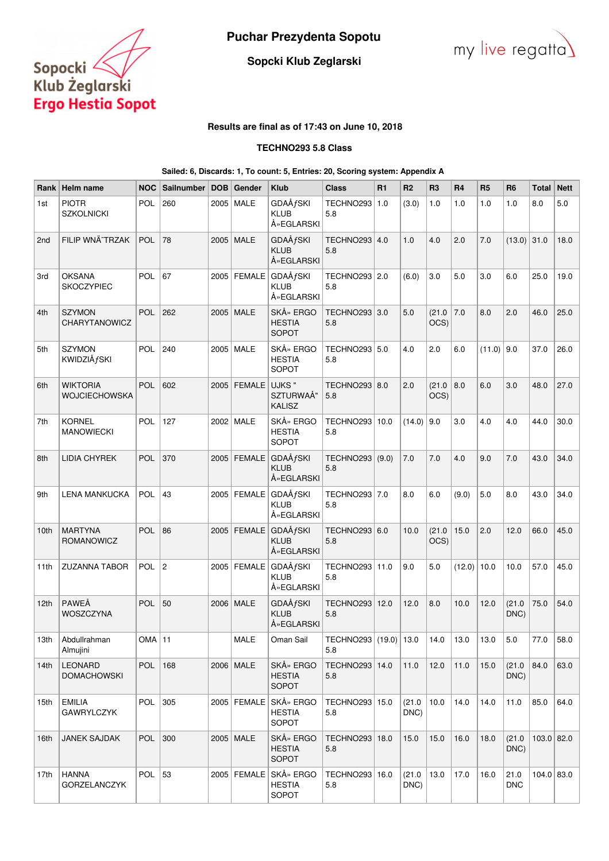

**Puchar Prezydenta Sopotu**



# **Sopcki Klub Zeglarski**

# **Results are final as of 17:43 on June 10, 2018**

# **TECHNO293 5.8 Class**

#### **Sailed: 6, Discards: 1, To count: 5, Entries: 20, Scoring system: Appendix A**

| Rank             | Helm name                            | <b>NOC</b> | Sailnumber     | <b>DOB</b> | Gender        | <b>Klub</b>                                            | <b>Class</b>                 | R1 | R <sub>2</sub> | R <sub>3</sub> | R <sub>4</sub> | R <sub>5</sub> | R <sub>6</sub>     | <b>Total</b> | <b>Nett</b> |
|------------------|--------------------------------------|------------|----------------|------------|---------------|--------------------------------------------------------|------------------------------|----|----------------|----------------|----------------|----------------|--------------------|--------------|-------------|
| 1st              | <b>PIOTR</b><br><b>SZKOLNICKI</b>    | POL        | 260            |            | 2005   MALE   | <b>GDAÅfSKI</b><br><b>KLUB</b><br>Å» EGLARSKI          | TECHNO293 1.0<br>5.8         |    | (3.0)          | 1.0            | 1.0            | 1.0            | 1.0                | 8.0          | 5.0         |
| 2 <sub>nd</sub>  | FILIP WNÄ~TRZAK                      | <b>POL</b> | 78             |            | 2005   MALE   | <b>GDAÅfSKI</b><br><b>KLUB</b><br>Å» EGLARSKI          | TECHNO293 4.0<br>5.8         |    | 1.0            | 4.0            | 2.0            | 7.0            | $(13.0)$ 31.0      |              | 18.0        |
| 3rd              | <b>OKSANA</b><br><b>SKOCZYPIEC</b>   | <b>POL</b> | 67             |            | 2005 FEMALE   | <b>GDAÅfSKI</b><br><b>KLUB</b><br>Å» EGLARSKI          | TECHNO293   2.0<br>5.8       |    | (6.0)          | 3.0            | 5.0            | 3.0            | 6.0                | 25.0         | 19.0        |
| 4th              | <b>SZYMON</b><br>CHARYTANOWICZ       | <b>POL</b> | 262            |            | 2005   MALE   | SKÅ» ERGO<br><b>HESTIA</b><br><b>SOPOT</b>             | TECHNO293 3.0<br>5.8         |    | 5.0            | (21.0)<br>OCS) | 7.0            | 8.0            | 2.0                | 46.0         | 25.0        |
| 5th              | <b>SZYMON</b><br><b>KWIDZIÅfSKI</b>  | <b>POL</b> | 240            |            | 2005   MALE   | SKÅ» ERGO<br><b>HESTIA</b><br>SOPOT                    | TECHNO293   5.0<br>5.8       |    | 4.0            | 2.0            | 6.0            | $(11.0)$ 9.0   |                    | 37.0         | 26.0        |
| 6th              | <b>WIKTORIA</b><br>WOJCIECHOWSKA     | <b>POL</b> | 602            |            | $2005$ FEMALE | UJKS"<br>SZTURWAÅ"<br><b>KALISZ</b>                    | TECHNO293   8.0<br>5.8       |    | 2.0            | (21.0)<br>OCS) | 8.0            | 6.0            | 3.0                | 48.0         | 27.0        |
| 7th              | <b>KORNEL</b><br><b>MANOWIECKI</b>   | POL        | 127            |            | 2002 MALE     | SKÅ» ERGO<br><b>HESTIA</b><br>SOPOT                    | TECHNO293   10.0<br>5.8      |    | (14.0)         | 9.0            | 3.0            | 4.0            | 4.0                | 44.0         | 30.0        |
| 8th              | <b>LIDIA CHYREK</b>                  | <b>POL</b> | 370            |            | $2005$ FEMALE | <b>GDAÅfSKI</b><br><b>KLUB</b><br>Å» EGLARSKI          | TECHNO293 (9.0)<br>5.8       |    | 7.0            | 7.0            | 4.0            | 9.0            | 7.0                | 43.0         | 34.0        |
| 9th              | <b>LENA MANKUCKA</b>                 | <b>POL</b> | 43             |            | 2005   FEMALE | GDAÅ <i>f</i> SKI<br><b>KLUB</b><br>Å» EGLARSKI        | TECHNO293 7.0<br>5.8         |    | 8.0            | 6.0            | (9.0)          | 5.0            | 8.0                | 43.0         | 34.0        |
| 10 <sub>th</sub> | <b>MARTYNA</b><br>ROMANOWICZ         | POL        | 86             |            |               | 2005   FEMALE   GDAÅfSKI<br><b>KLUB</b><br>Å» EGLARSKI | TECHNO293   6.0<br>5.8       |    | 10.0           | (21.0)<br>OCS) | 15.0           | 2.0            | 12.0               | 66.0         | 45.0        |
| 11th             | <b>ZUZANNA TABOR</b>                 | POL        | $\overline{c}$ |            |               | 2005   FEMALE   GDAÅfSKI<br><b>KLUB</b><br>Å» EGLARSKI | TECHNO293 11.0<br>5.8        |    | 9.0            | 5.0            | $(12.0)$ 10.0  |                | 10.0               | 57.0         | 45.0        |
| 12 <sub>th</sub> | PAWEÅ<br>WOSZCZYNA                   | <b>POL</b> | 50             |            | 2006   MALE   | <b>GDAÅfSKI</b><br><b>KLUB</b><br>Å» EGLARSKI          | TECHNO293 12.0<br>5.8        |    | 12.0           | 8.0            | 10.0           | 12.0           | (21.0)<br>DNC)     | 75.0         | 54.0        |
| 13th             | Abdullrahman<br>Almujini             | $OMA$ 11   |                |            | MALE          | Oman Sail                                              | TECHNO293 (19.0) 13.0<br>5.8 |    |                | $ 14.0\rangle$ | 13.0           | 13.0           | 5.0                | 77.0         | 58.0        |
| 14th             | <b>LEONARD</b><br><b>DOMACHOWSKI</b> | POL        | 168            |            | 2006   MALE   | SKÅ» ERGO<br><b>HESTIA</b><br>SOPOT                    | TECHNO293   14.0<br>5.8      |    | 11.0           | 12.0           | 11.0           | 15.0           | (21.0)<br>DNC)     | 84.0         | 63.0        |
| 15th             | <b>EMILIA</b><br><b>GAWRYLCZYK</b>   | POL $ 305$ |                |            |               | 2005   FEMALE   SKÅ» ERGO<br><b>HESTIA</b><br>SOPOT    | TECHNO293   15.0<br>5.8      |    | (21.0)<br>DNC) | 10.0           | 14.0           | 14.0           | 11.0               | 85.0         | 64.0        |
| 16th             | JANEK SAJDAK                         | POL $ 300$ |                |            | 2005   MALE   | SKÅ» ERGO<br><b>HESTIA</b><br>SOPOT                    | TECHNO293   18.0<br>5.8      |    | 15.0           | 15.0           | 16.0           | 18.0           | (21.0)<br>DNC)     | $103.0$ 82.0 |             |
| 17th             | <b>HANNA</b><br>GORZELANCZYK         | POL        | 53             |            |               | 2005   FEMALE   SKÅ» ERGO<br><b>HESTIA</b><br>SOPOT    | TECHNO293   16.0<br>5.8      |    | (21.0)<br>DNC) | 13.0           | 17.0           | 16.0           | 21.0<br><b>DNC</b> | 104.0 83.0   |             |